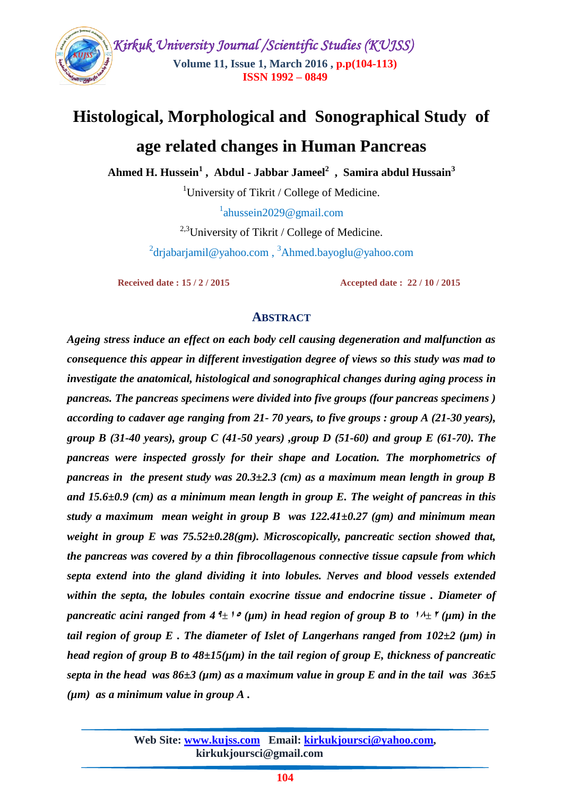

# **Histological, Morphological and Sonographical Study of age related changes in Human Pancreas**

**Ahmed H. Hussein<sup>1</sup> , Abdul - Jabbar Jameel<sup>2</sup> , Samira abdul Hussain<sup>3</sup>**

<sup>1</sup>University of Tikrit / College of Medicine.

<sup>1</sup>ahussein2029@gmail.com

<sup>2,3</sup>University of Tikrit / College of Medicine. <sup>2</sup>[drjabarjamil@yahoo.com](mailto:2drjabarjamil@yahoo.com) , <sup>3</sup>Ahmed.bayoglu@yahoo.com

 **Received date : 15 / 2 / 2015 Accepted date : 22 / 10 / 2015**

#### **ABSTRACT**

*Ageing stress induce an effect on each body cell causing degeneration and malfunction as consequence this appear in different investigation degree of views so this study was mad to investigate the anatomical, histological and sonographical changes during aging process in pancreas. The pancreas specimens were divided into five groups (four pancreas specimens ) according to cadaver age ranging from 21- 70 years, to five groups : group A (21-30 years), group B (31-40 years), group C (41-50 years) ,group D (51-60) and group E (61-70). The pancreas were inspected grossly for their shape and Location. The morphometrics of pancreas in the present study was 20.3±2.3 (cm) as a maximum mean length in group B and 15.6±0.9 (cm) as a minimum mean length in group E. The weight of pancreas in this study a maximum mean weight in group B was 122.41±0.27 (gm) and minimum mean weight in group E was 75.52±0.28(gm). Microscopically, pancreatic section showed that, the pancreas was covered by a thin fibrocollagenous connective tissue capsule from which septa extend into the gland dividing it into lobules. Nerves and blood vessels extended within the septa, the lobules contain exocrine tissue and endocrine tissue . Diameter of pancreatic acini ranged from 4*<sup> $4$ </sup> $\pm$ <sup>1</sup> $\circ$  ( $\mu$ m) *in head region of group B to*  $\hbar$ <sup> $\pm$ </sup>  $\mu$ <sup> $\mu$ </sup>) *in the tail region of group E. The diameter of Islet of Langerhans ranged from*  $102\pm2$  *(* $\mu$ *m) in head region of group B to 48±15(µm) in the tail region of group E, thickness of pancreatic septa in the head was 86* $\pm$ *3 (* $\mu$ *m) as a maximum value in group E and in the tail was 36* $\pm$ *5 (µm) as a minimum value in group A .*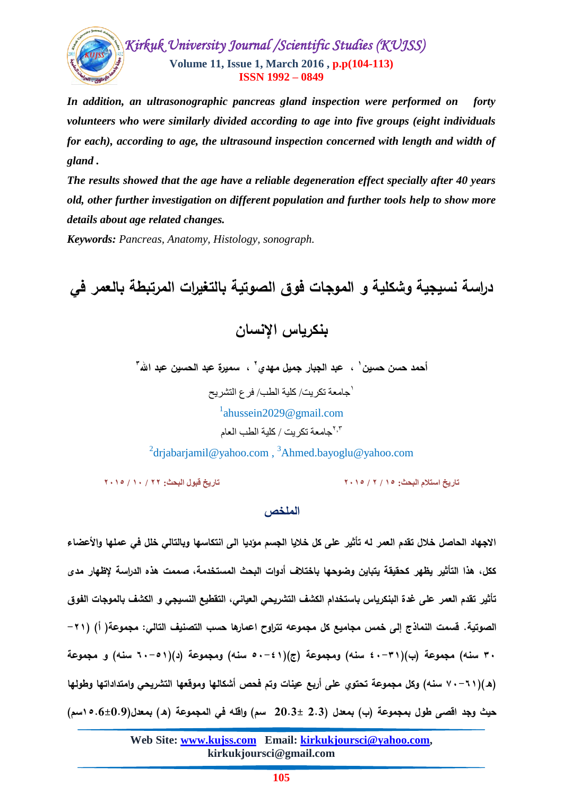

*In addition, an ultrasonographic pancreas gland inspection were performed on forty volunteers who were similarly divided according to age into five groups (eight individuals for each), according to age, the ultrasound inspection concerned with length and width of gland .*

*The results showed that the age have a reliable degeneration effect specially after 40 years old, other further investigation on different population and further tools help to show more details about age related changes.*

*Keywords: Pancreas, Anatomy, Histology, sonograph.*

**دراسة نسيجية وشكمية و الموجات فوق الصوتية بالتغيرات المرتبطة بالعمر في بنكرياس اإلنسان** أحمد حسن حسين ' ، عبد الجبار جميل مهدي ' ، سميرة عبد الحسين عبد الله '' 1 جامعة تكريت/ كلية الطب/ فرع التشريح 1 ahussein2029@gmail.com جامعة تكريت / كلية الطب العام 3,2

<sup>2</sup>[drjabarjamil@yahoo.com](mailto:2drjabarjamil@yahoo.com),<sup>3</sup>Ahmed.bayoglu@yahoo.com

**تاريخ استالم البحث: 15 / 2 / 2015 تاريخ قبول البحث: 22 / 10 / 2015**

## **الممخص**

**االجياد الحاصل خالل تقدم العمر لو تأثير عمى كل خاليا الجسم مؤديا الى انتكاسيا وبالتالي خمل في عمميا واألعضاء ككل، ىذا التأثير يظير كحقيقة يتباين وضوحيا باختالف أدوات البحث المستخدمة، صممت ىذه الدراسة إلظيار مدى تأثير تقدم العمر عمى غدة البنكرياس باستخدام الكشف التشريحي العياني، التقطيع النسيجي و الكشف بالموجات الفوق الصوتية. قسمت النماذج إلى خمس مجاميع كل مجموعو تتراوح اعمارىا حسب التصنيف التالي: مجموعة) أ( )-21 33 سنو( مجموعة )ب()43-31 سنو( ومجموعة )ج()53-41 سنو( ومجموعة )د()63-51 سنو( و مجموعة )ه()73-61 سنو( وكل مجموعة تحتوي عمى أربع عينات وتم فحص أشكاليا وموقعيا التشريحي وامتداداتيا وطوليا حيث وجد اقصى طول بمجموعة )ب( بمعدل )2.3 20.3± سم( واقمو في المجموعة )ه( بمعدل)15.6±0.9سم(**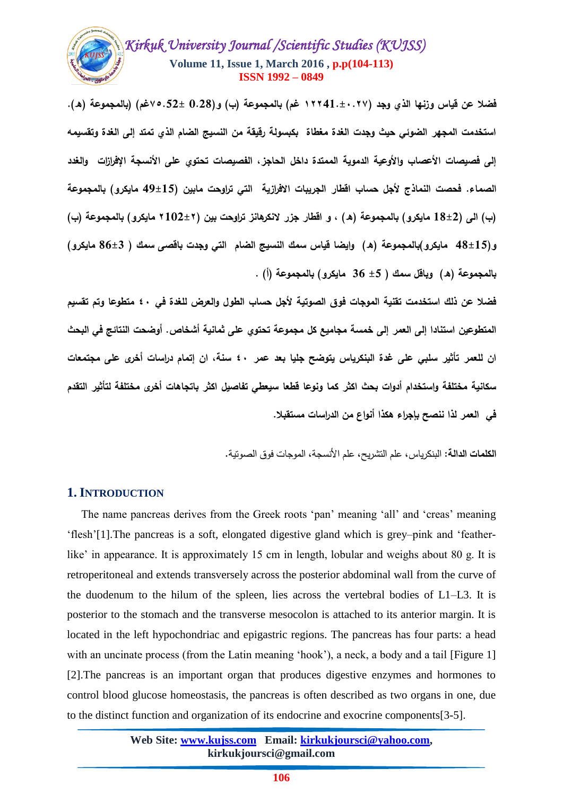

**فضال عن قياس وزنيا الذي وجد )12241.±3227 غم( بالمجموعة )ب( و(0.28 75.52±غم) )بالمجموعة )ه(2 استخدمت المجير الضوئي حيث وجدت الغدة مغطاة بكبسولة رقيقة من النسيج الضام الذي تمتد إلى الغدة وتقسيمو**  إلى فصيصات الأعصاب والأوعية الدموية الممتدة داخل الحاجز ، الفصيصات تحتوي على الأنسجة الإفرازات والغدد **الصماء2 فحصت النماذج ألجل حساب اقطار الجريبات االفرازية التي تراوحت مابين )49±15 مايكرو( بالمجموعة )ب( الى )18±2 مايكرو( بالمجموعة )ه( ، و اقطار جزر النكرىانز تراوحت بين )2102±2 مايكرو( بالمجموعة )ب( و)48±15 مايكرو(بالمجموعة )ه( وايضا قياس سمك النسيج الضام التي وجدت باقصى سمك ) 86±3 مايكرو( بالمجموعة )ه( وباقل سمك ) ±5 36 مايكرو( بالمجموعة )أ( 2**

**فضال عن ذلك استخدمت تقنية الموجات فوق الصوتية ألجل حساب الطول والعرض لمغدة في 43 متطوعا وتم تقسيم المتطوعين استنادا إلى العمر إلى خمسة مجاميع كل مجموعة تحتوي عمى ثمانية أشخاص2 أوضحت النتائج في البحث ان لمعمر تأثير سمبي عمى غدة البنكرياس يتوضح جميا بعد عمر 43 سنة، ان إتمام دراسات أخرى عمى مجتمعات سكانية مختمفة واستخدام أدوات بحث اكثر كما ونوعا قطعا سيعطي تفاصيل اكثر باتجاىات أخرى مختمفة لتأثير التقدم في العمر لذا ننصح بإجراء ىكذا أنواع من الدراسات مستقبال2**

**الكممات الدالة:** البنكرياس, عمم التشريح, عمم األنسجة, الموجات فوق الصوتية.

## **1.INTRODUCTION**

 The name pancreas derives from the Greek roots 'pan' meaning 'all' and 'creas' meaning 'flesh'[1].The pancreas is a soft, elongated digestive gland which is grey–pink and 'featherlike' in appearance. It is approximately 15 cm in length, lobular and weighs about 80 g. It is retroperitoneal and extends transversely across the posterior abdominal wall from the curve of the duodenum to the hilum of the spleen, lies across the vertebral bodies of L1–L3. It is posterior to the stomach and the transverse mesocolon is attached to its anterior margin. It is located in the left hypochondriac and epigastric regions. The pancreas has four parts: a head with an uncinate process (from the Latin meaning 'hook'), a neck, a body and a tail [Figure 1] [2].The pancreas is an important organ that produces digestive enzymes and hormones to control blood glucose homeostasis, the pancreas is often described as two organs in one, due to the distinct function and organization of its endocrine and exocrine components[3-5].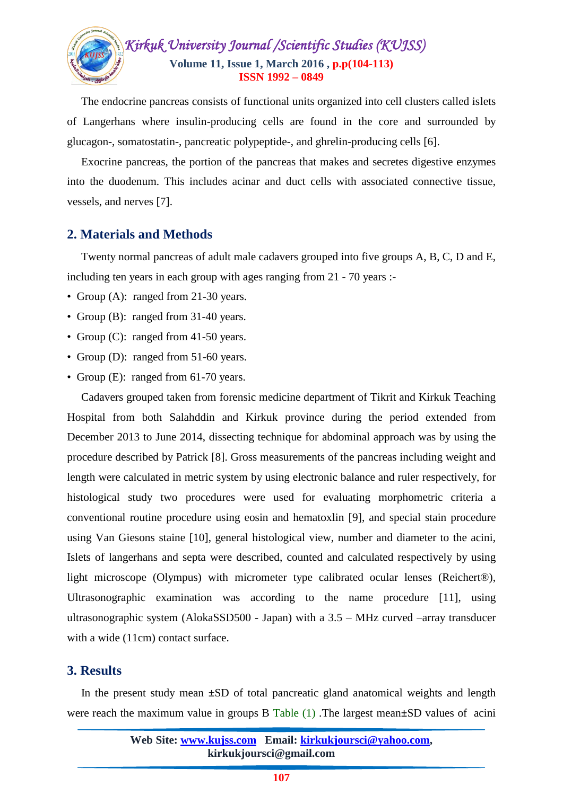

 The endocrine pancreas consists of functional units organized into cell clusters called islets of Langerhans where insulin-producing cells are found in the core and surrounded by glucagon-, somatostatin-, pancreatic polypeptide-, and ghrelin-producing cells [6].

 Exocrine pancreas, the portion of the pancreas that makes and secretes digestive enzymes into the duodenum. This includes acinar and duct cells with associated connective tissue, vessels, and nerves [7].

## **2. Materials and Methods**

 Twenty normal pancreas of adult male cadavers grouped into five groups A, B, C, D and E, including ten years in each group with ages ranging from 21 - 70 years :-

- Group (A): ranged from 21-30 years.
- Group (B): ranged from 31-40 years.
- Group (C): ranged from 41-50 years.
- Group (D): ranged from 51-60 years.
- Group (E): ranged from 61-70 years.

 Cadavers grouped taken from forensic medicine department of Tikrit and Kirkuk Teaching Hospital from both Salahddin and Kirkuk province during the period extended from December 2013 to June 2014, dissecting technique for abdominal approach was by using the procedure described by Patrick [8]. Gross measurements of the pancreas including weight and length were calculated in metric system by using electronic balance and ruler respectively, for histological study two procedures were used for evaluating morphometric criteria a conventional routine procedure using eosin and hematoxlin [9], and special stain procedure using Van Giesons staine [10], general histological view, number and diameter to the acini, Islets of langerhans and septa were described, counted and calculated respectively by using light microscope (Olympus) with micrometer type calibrated ocular lenses (Reichert®), Ultrasonographic examination was according to the name procedure [11], using ultrasonographic system (AlokaSSD500 - Japan) with a 3.5 – MHz curved –array transducer with a wide (11cm) contact surface.

## **3. Results**

 In the present study mean **±**SD of total pancreatic gland anatomical weights and length were reach the maximum value in groups B Table (1) .The largest mean**±**SD values of acini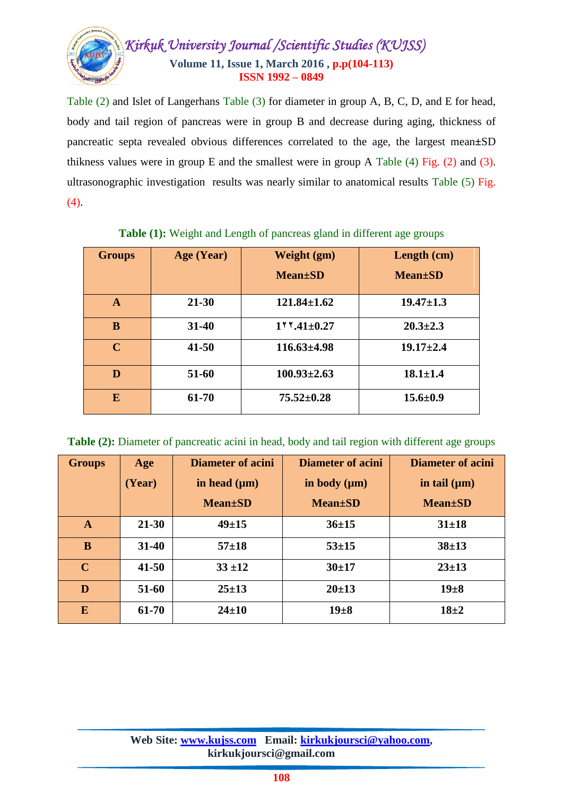

Table (2) and Islet of Langerhans Table (3) for diameter in group A, B, C, D, and E for head, body and tail region of pancreas were in group B and decrease during aging, thickness of pancreatic septa revealed obvious differences correlated to the age, the largest mean**±**SD thikness values were in group E and the smallest were in group A Table (4) Fig. (2) and (3). ultrasonographic investigation results was nearly similar to anatomical results Table (5) Fig. (4).

| <b>Groups</b> | Age (Year) | Weight (gm)<br><b>Mean</b> ±SD   | Length (cm)<br><b>Mean</b> ±SD |
|---------------|------------|----------------------------------|--------------------------------|
| A             | $21 - 30$  | $121.84 \pm 1.62$                | $19.47 \pm 1.3$                |
| B             | $31 - 40$  | $1$ <sup>v</sup> v.41 $\pm$ 0.27 | $20.3 \pm 2.3$                 |
| $\mathbf C$   | $41 - 50$  | $116.63{\pm}4.98$                | $19.17 \pm 2.4$                |
| D             | 51-60      | $100.93 \pm 2.63$                | $18.1 \pm 1.4$                 |
| E             | 61-70      | $75.52 \pm 0.28$                 | $15.6 \pm 0.9$                 |

**Table (1):** Weight and Length of pancreas gland in different age groups

**Table (2):** Diameter of pancreatic acini in head, body and tail region with different age groups

| <b>Groups</b> | Age       | <b>Diameter of acini</b> | Diameter of acini | <b>Diameter of acini</b> |
|---------------|-----------|--------------------------|-------------------|--------------------------|
|               | (Year)    | in head $(\mu m)$        | in body $(\mu m)$ | in tail $(\mu m)$        |
|               |           | <b>Mean</b> ±SD          | <b>Mean</b> ±SD   | <b>Mean</b> ±SD          |
| $\mathbf{A}$  | $21 - 30$ | $49 + 15$                | $36 \pm 15$       | $31 \pm 18$              |
| B             | $31 - 40$ | $57 + 18$                | $53 + 15$         | $38 + 13$                |
| $\mathbf C$   | $41 - 50$ | $33 + 12$                | $30+17$           | $23 \pm 13$              |
| D             | 51-60     | $25 \pm 13$              | $20 \pm 13$       | $19 + 8$                 |
| E             | 61-70     | $24 \pm 10$              | $19\pm8$          | $18 + 2$                 |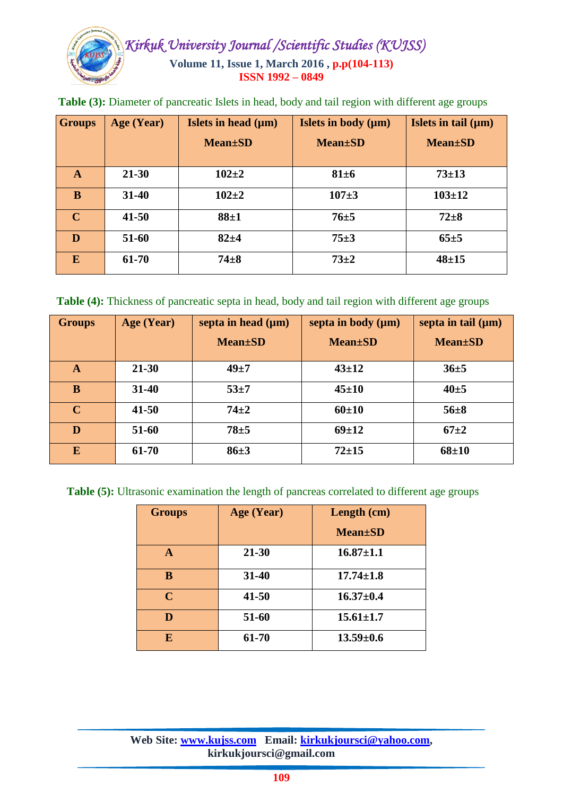

| <b>Groups</b> | Age (Year) | Islets in head $(\mu m)$<br><b>Mean</b> ±SD | Islets in body $(\mu m)$<br><b>Mean</b> ±SD | Islets in tail $(\mu m)$<br><b>Mean</b> ±SD |
|---------------|------------|---------------------------------------------|---------------------------------------------|---------------------------------------------|
| $\mathbf{A}$  | $21 - 30$  | $102 + 2$                                   | $81\pm6$                                    | $73 \pm 13$                                 |
| B             | 31-40      | $102 + 2$                                   | $107 + 3$                                   | $103 \pm 12$                                |
| $\mathbf C$   | $41 - 50$  | $88 + 1$                                    | $76 + 5$                                    | $72 + 8$                                    |
| D             | 51-60      | $82 + 4$                                    | $75 \pm 3$                                  | $65 \pm 5$                                  |
| E             | 61-70      | $74 + 8$                                    | $73 + 2$                                    | $48 + 15$                                   |

**Table (3):** Diameter of pancreatic Islets in head, body and tail region with different age groups

**Table (4):** Thickness of pancreatic septa in head, body and tail region with different age groups

| <b>Groups</b> | Age (Year) | septa in head $(\mu m)$ | septa in body $(\mu m)$ | septa in tail $(\mu m)$ |
|---------------|------------|-------------------------|-------------------------|-------------------------|
|               |            | <b>Mean</b> ±SD         | <b>Mean</b> ±SD         | <b>Mean</b> ±SD         |
| A             | $21 - 30$  | $49 + 7$                | $43 \pm 12$             | $36 \pm 5$              |
| B             | $31 - 40$  | $53 + 7$                | $45 \pm 10$             | $40 \pm 5$              |
| $\mathbf C$   | $41 - 50$  | $74 + 2$                | $60+10$                 | $56 \pm 8$              |
| D             | 51-60      | $78 + 5$                | $69 \pm 12$             | $67+2$                  |
| E             | 61-70      | $86 \pm 3$              | $72 + 15$               | $68 + 10$               |

**Table (5):** Ultrasonic examination the length of pancreas correlated to different age groups

| <b>Groups</b> | Age (Year) | Length (cm)                 |
|---------------|------------|-----------------------------|
|               |            | <b>Mean</b> <sup>t</sup> SD |
| A             | $21 - 30$  | $16.87 \pm 1.1$             |
| B             | 31-40      | $17.74 \pm 1.8$             |
| $\mathbf C$   | $41 - 50$  | $16.37 \pm 0.4$             |
| D             | 51-60      | $15.61 \pm 1.7$             |
| E             | 61-70      | $13.59 \pm 0.6$             |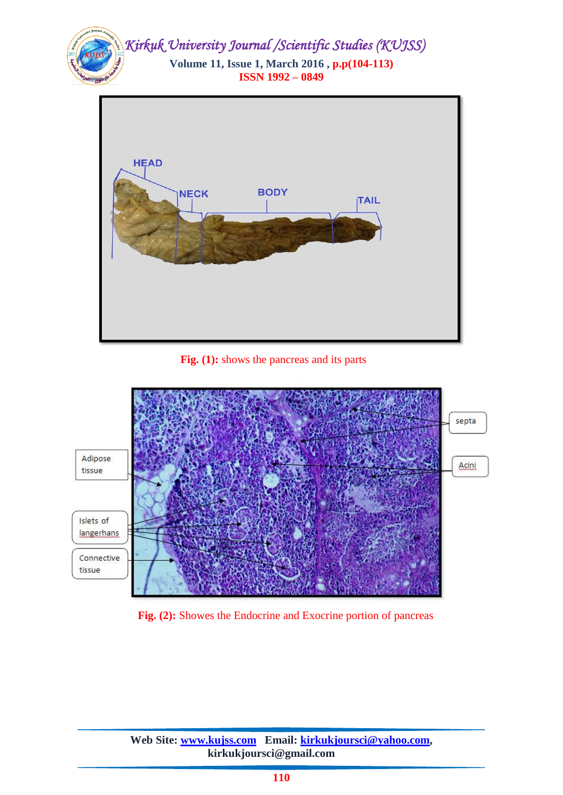



 **Fig. (1):** shows the pancreas and its parts



**Fig. (2):** Showes the Endocrine and Exocrine portion of pancreas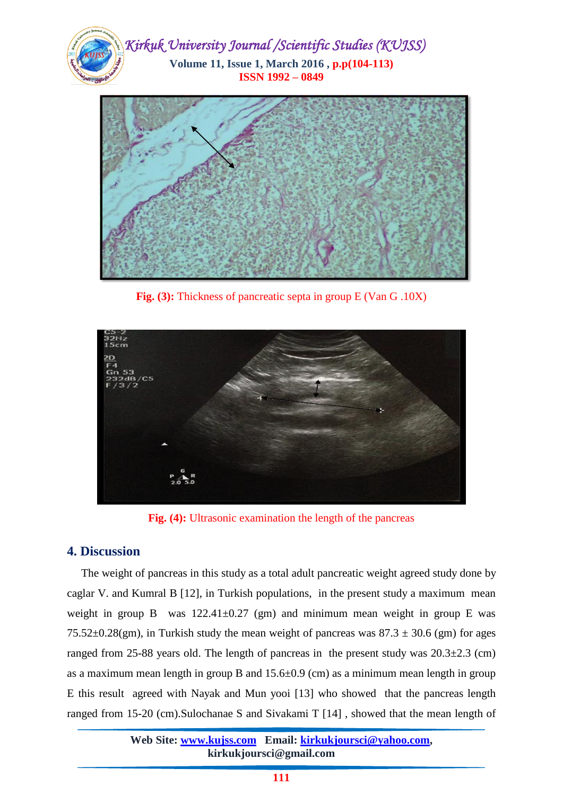



**Fig. (3):** Thickness of pancreatic septa in group E (Van G .10X)



**Fig. (4):** Ultrasonic examination the length of the pancreas

## **4. Discussion**

 The weight of pancreas in this study as a total adult pancreatic weight agreed study done by caglar V. and Kumral B [12], in Turkish populations, in the present study a maximum mean weight in group B was  $122.41 \pm 0.27$  (gm) and minimum mean weight in group E was 75.52 $\pm$ 0.28(gm), in Turkish study the mean weight of pancreas was 87.3  $\pm$  30.6 (gm) for ages ranged from 25-88 years old. The length of pancreas in the present study was  $20.3\pm2.3$  (cm) as a maximum mean length in group B and  $15.6\pm0.9$  (cm) as a minimum mean length in group E this result agreed with Nayak and Mun yooi [13] who showed that the pancreas length ranged from 15-20 (cm).Sulochanae S and Sivakami T [14] , showed that the mean length of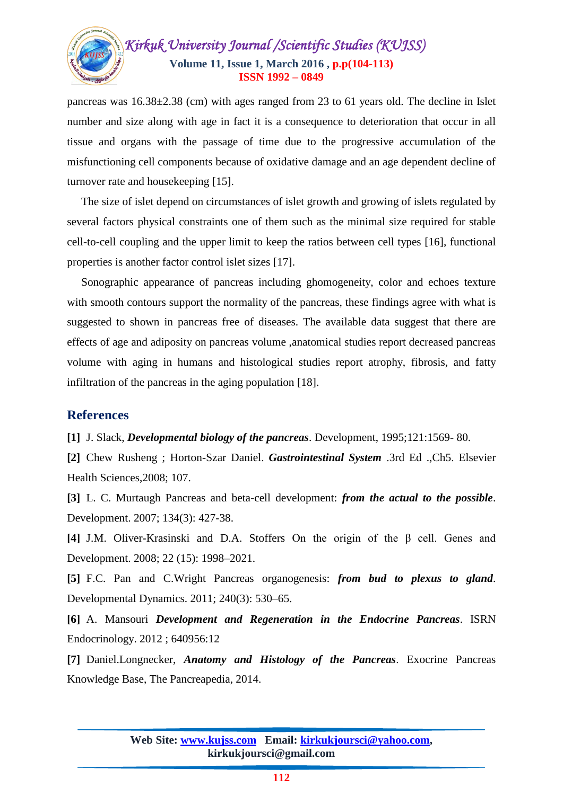

pancreas was 16.38±2.38 (cm) with ages ranged from 23 to 61 years old. The decline in Islet number and size along with age in fact it is a consequence to deterioration that occur in all tissue and organs with the passage of time due to the progressive accumulation of the misfunctioning cell components because of oxidative damage and an age dependent decline of turnover rate and housekeeping [15].

 The size of islet depend on circumstances of islet growth and growing of islets regulated by several factors physical constraints one of them such as the minimal size required for stable cell-to-cell coupling and the upper limit to keep the ratios between cell types [16], functional properties is another factor control islet sizes [17].

 Sonographic appearance of pancreas including ghomogeneity, color and echoes texture with smooth contours support the normality of the pancreas, these findings agree with what is suggested to shown in pancreas free of diseases. The available data suggest that there are effects of age and adiposity on pancreas volume ,anatomical studies report decreased pancreas volume with aging in humans and histological studies report atrophy, fibrosis, and fatty infiltration of the pancreas in the aging population [18].

## **References**

**[1]** J. Slack, *Developmental biology of the pancreas*. Development, 1995;121:1569- 80.

**[2]** Chew Rusheng ; Horton-Szar Daniel. *Gastrointestinal System* .3rd Ed .,Ch5. Elsevier Health Sciences,2008; 107.

**[3]** L. C. Murtaugh Pancreas and beta-cell development: *from the actual to the possible*. Development. 2007; 134(3): 427-38.

**[4]** J.M. Oliver-Krasinski and D.A. Stoffers On the origin of the β cell. Genes and Development. 2008; 22 (15): 1998–2021.

**[5]** F.C. Pan and C.Wright Pancreas organogenesis: *from bud to plexus to gland*. Developmental Dynamics. 2011; 240(3): 530–65.

**[6]** A. Mansouri *Development and Regeneration in the Endocrine Pancreas*. ISRN Endocrinology. 2012 ; 640956:12

**[7]** Daniel.Longnecker, *Anatomy and Histology of the Pancreas*. Exocrine Pancreas Knowledge Base, The Pancreapedia, 2014.